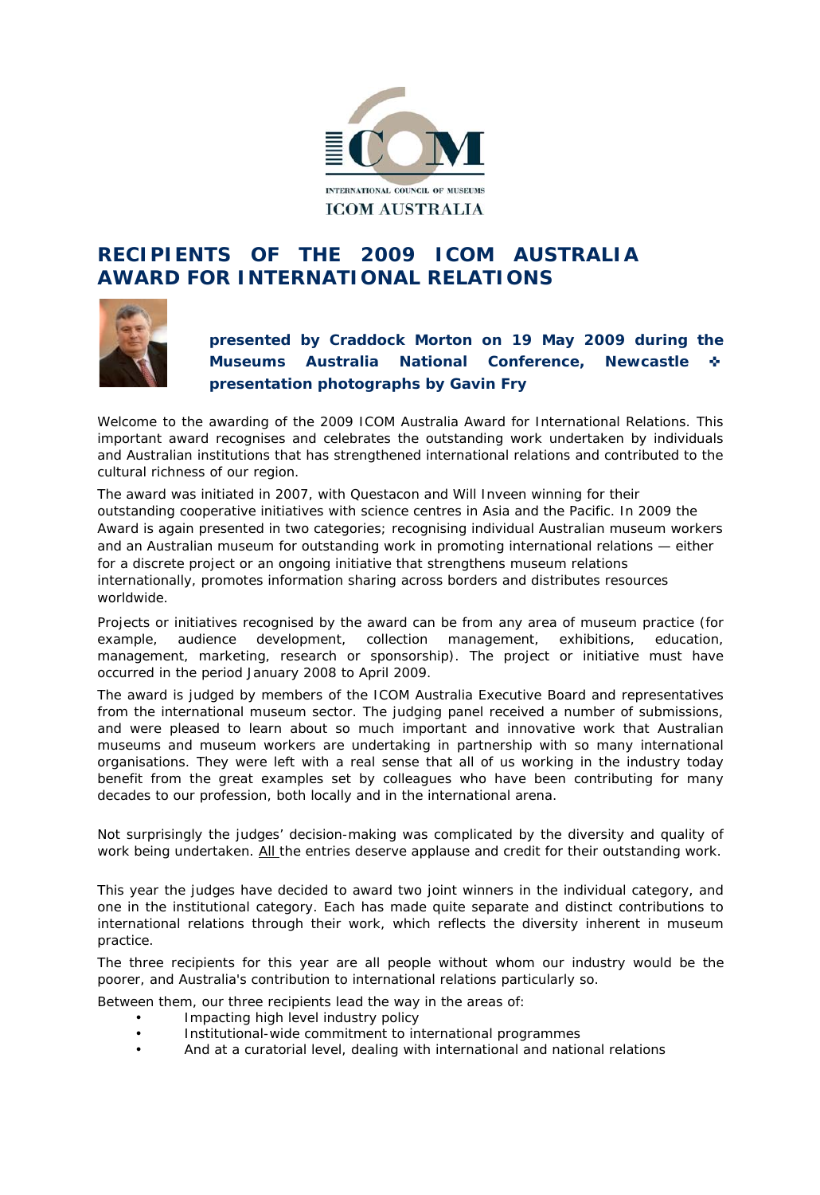

## **RECIPIENTS OF THE 2009 ICOM AUSTRALIA AWARD FOR INTERNATIONAL RELATIONS**



**presented by Craddock Morton on 19 May 2009 during the Museums Australia National Conference, Newcastle** ✜ **presentation photographs by Gavin Fry** 

Welcome to the awarding of the 2009 ICOM Australia Award for International Relations. This important award recognises and celebrates the outstanding work undertaken by individuals and Australian institutions that has strengthened international relations and contributed to the cultural richness of our region.

The award was initiated in 2007, with Questacon and Will Inveen winning for their outstanding cooperative initiatives with science centres in Asia and the Pacific. In 2009 the Award is again presented in two categories; recognising individual Australian museum workers and an Australian museum for outstanding work in promoting international relations — either for a discrete project or an ongoing initiative that strengthens museum relations internationally, promotes information sharing across borders and distributes resources worldwide.

Projects or initiatives recognised by the award can be from any area of museum practice (for example, audience development, collection management, exhibitions, education, management, marketing, research or sponsorship). The project or initiative must have occurred in the period January 2008 to April 2009.

The award is judged by members of the ICOM Australia Executive Board and representatives from the international museum sector. The judging panel received a number of submissions, and were pleased to learn about so much important and innovative work that Australian museums and museum workers are undertaking in partnership with so many international organisations. They were left with a real sense that all of us working in the industry today benefit from the great examples set by colleagues who have been contributing for many decades to our profession, both locally and in the international arena.

Not surprisingly the judges' decision-making was complicated by the diversity and quality of work being undertaken. All the entries deserve applause and credit for their outstanding work.

This year the judges have decided to award two joint winners in the individual category, and one in the institutional category. Each has made quite separate and distinct contributions to international relations through their work, which reflects the diversity inherent in museum practice.

The three recipients for this year are all people without whom our industry would be the poorer, and Australia's contribution to international relations particularly so.

Between them, our three recipients lead the way in the areas of:

- Impacting high level industry policy
- Institutional-wide commitment to international programmes
- And at a curatorial level, dealing with international and national relations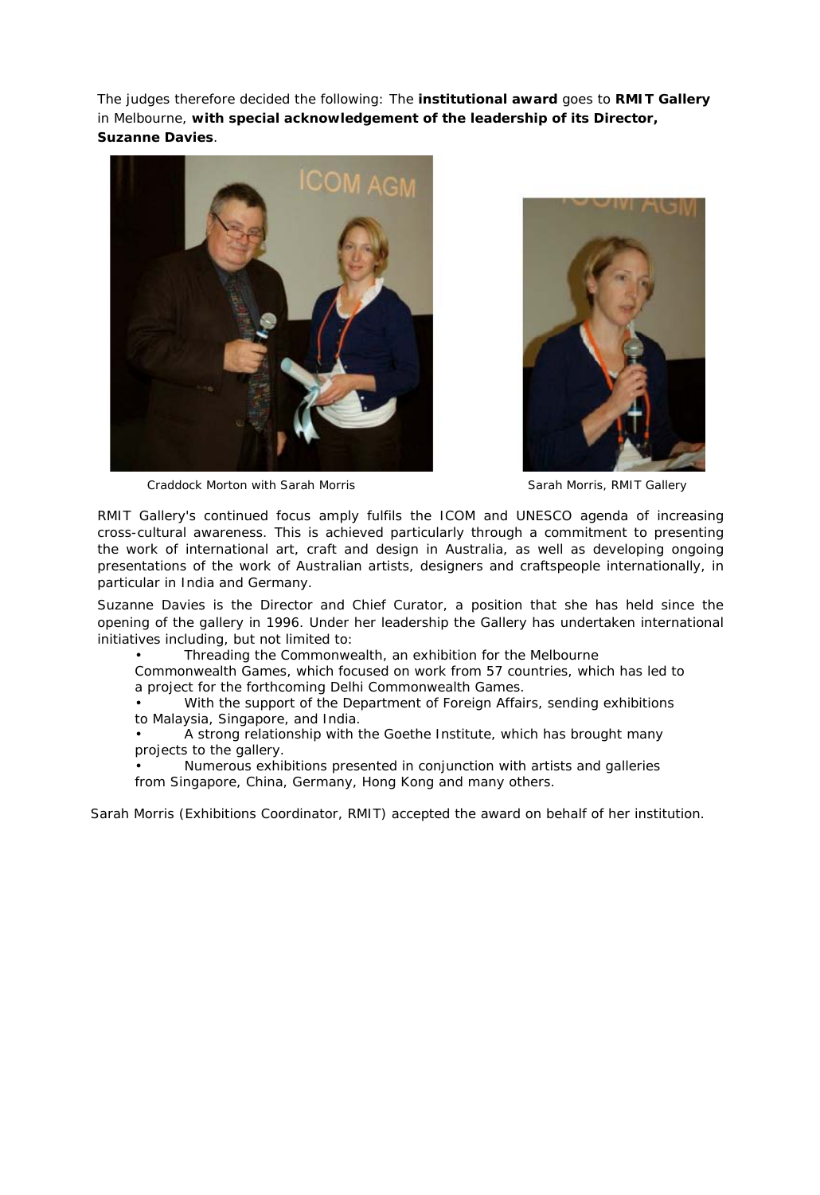The judges therefore decided the following: The **institutional award** goes to **RMIT Gallery**  in Melbourne, **with special acknowledgement of the leadership of its Director, Suzanne Davies**.





Craddock Morton with Sarah Morris **Sarah Morris, RMIT Gallery** Sarah Morris, RMIT Gallery

RMIT Gallery's continued focus amply fulfils the ICOM and UNESCO agenda of increasing cross-cultural awareness. This is achieved particularly through a commitment to presenting the work of international art, craft and design in Australia, as well as developing ongoing presentations of the work of Australian artists, designers and craftspeople internationally, in particular in India and Germany.

Suzanne Davies is the Director and Chief Curator, a position that she has held since the opening of the gallery in 1996. Under her leadership the Gallery has undertaken international initiatives including, but not limited to:

• *Threading the Commonwealth*, an exhibition for the Melbourne

Commonwealth Games, which focused on work from 57 countries, which has led to a project for the forthcoming Delhi Commonwealth Games.

With the support of the Department of Foreign Affairs, sending exhibitions to Malaysia, Singapore, and India.

• A strong relationship with the Goethe Institute, which has brought many projects to the gallery.

• Numerous exhibitions presented in conjunction with artists and galleries from Singapore, China, Germany, Hong Kong and many others.

Sarah Morris (Exhibitions Coordinator, RMIT) accepted the award on behalf of her institution.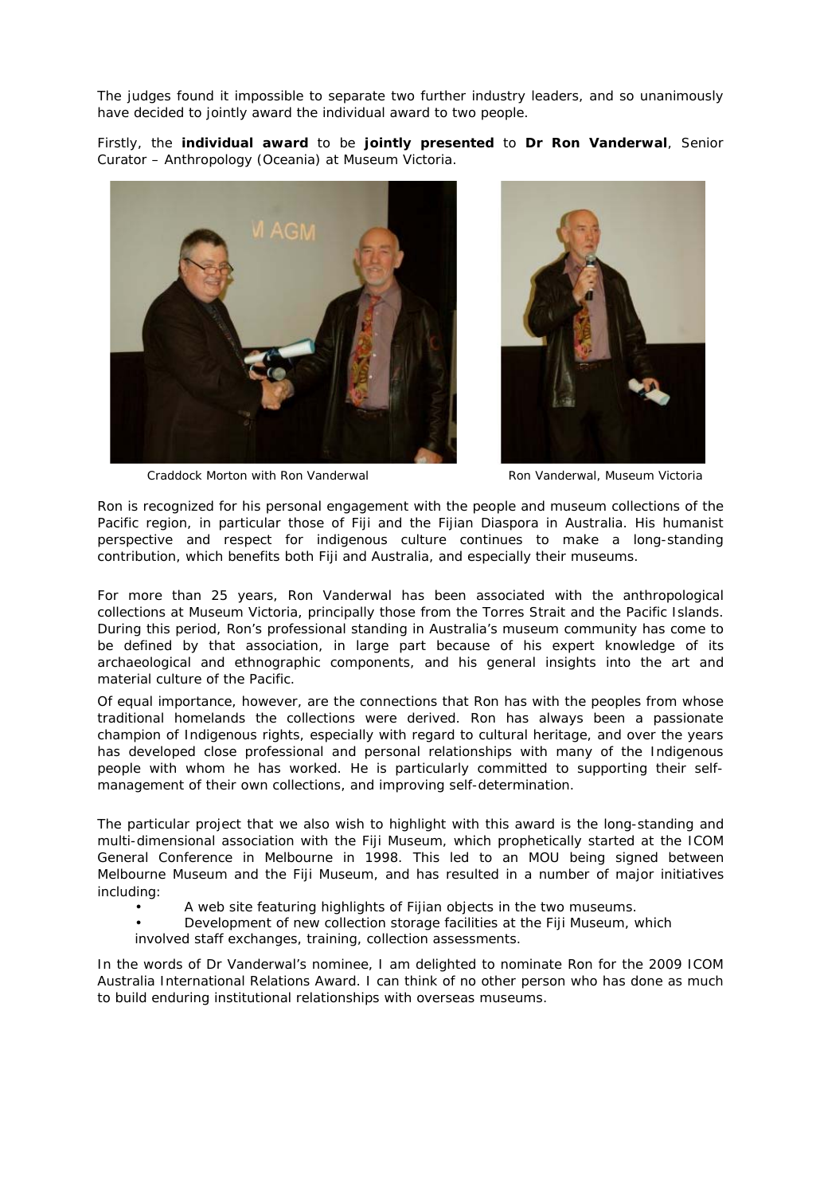The judges found it impossible to separate two further industry leaders, and so unanimously have decided to jointly award the individual award to two people.

Firstly, the **individual award** to be **jointly presented** to **Dr Ron Vanderwal**, Senior Curator – Anthropology (Oceania) at Museum Victoria.





Craddock Morton with Ron Vanderwal **Ron Vanderwal, Museum Victoria** 

Ron is recognized for his personal engagement with the people and museum collections of the Pacific region, in particular those of Fiji and the Fijian Diaspora in Australia. His humanist perspective and respect for indigenous culture continues to make a long-standing contribution, which benefits both Fiji and Australia, and especially their museums.

For more than 25 years, Ron Vanderwal has been associated with the anthropological collections at Museum Victoria, principally those from the Torres Strait and the Pacific Islands. During this period, Ron's professional standing in Australia's museum community has come to be defined by that association, in large part because of his expert knowledge of its archaeological and ethnographic components, and his general insights into the art and material culture of the Pacific.

Of equal importance, however, are the connections that Ron has with the peoples from whose traditional homelands the collections were derived. Ron has always been a passionate champion of Indigenous rights, especially with regard to cultural heritage, and over the years has developed close professional and personal relationships with many of the Indigenous people with whom he has worked. He is particularly committed to supporting their selfmanagement of their own collections, and improving self-determination.

The particular project that we also wish to highlight with this award is the long-standing and multi-dimensional association with the Fiji Museum, which prophetically started at the ICOM General Conference in Melbourne in 1998. This led to an MOU being signed between Melbourne Museum and the Fiji Museum, and has resulted in a number of major initiatives including:

- A web site featuring highlights of Fijian objects in the two museums.
- Development of new collection storage facilities at the Fiji Museum, which
- involved staff exchanges, training, collection assessments.

In the words of Dr Vanderwal's nominee, *I am delighted to nominate Ron for the 2009 ICOM Australia International Relations Award. I can think of no other person who has done as much to build enduring institutional relationships with overseas museums.*